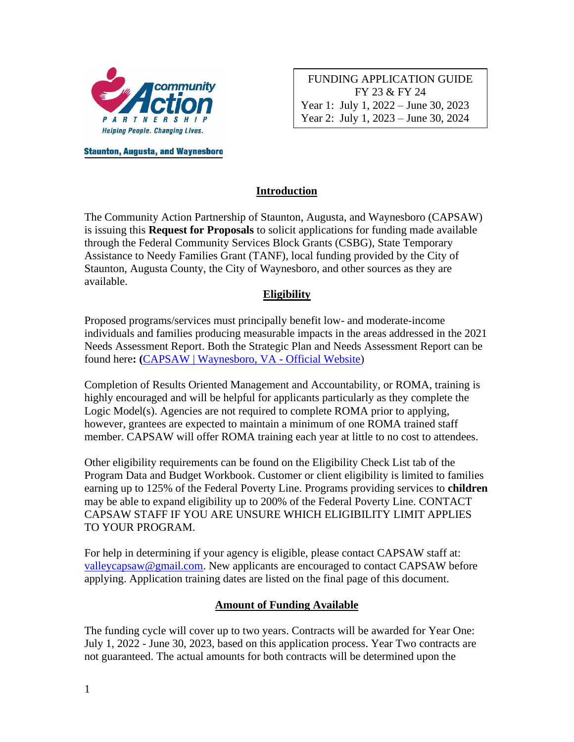

FUNDING APPLICATION GUIDE FY 23 & FY 24 Year 1: July 1, 2022 – June 30, 2023 Year 2: July 1, 2023 – June 30, 2024

**Staunton, Augusta, and Waynesboro** 

### **Introduction**

The Community Action Partnership of Staunton, Augusta, and Waynesboro (CAPSAW) is issuing this **Request for Proposals** to solicit applications for funding made available through the Federal Community Services Block Grants (CSBG), State Temporary Assistance to Needy Families Grant (TANF), local funding provided by the City of Staunton, Augusta County, the City of Waynesboro, and other sources as they are available.

#### **Eligibility**

Proposed programs/services must principally benefit low- and moderate-income individuals and families producing measurable impacts in the areas addressed in the 2021 Needs Assessment Report. Both the Strategic Plan and Needs Assessment Report can be found here**: (**[CAPSAW | Waynesboro, VA -](https://www.waynesboro.va.us/346/CAPSAW) Official Website)

Completion of Results Oriented Management and Accountability, or ROMA, training is highly encouraged and will be helpful for applicants particularly as they complete the Logic Model(s). Agencies are not required to complete ROMA prior to applying, however, grantees are expected to maintain a minimum of one ROMA trained staff member. CAPSAW will offer ROMA training each year at little to no cost to attendees.

Other eligibility requirements can be found on the Eligibility Check List tab of the Program Data and Budget Workbook. Customer or client eligibility is limited to families earning up to 125% of the Federal Poverty Line. Programs providing services to **children** may be able to expand eligibility up to 200% of the Federal Poverty Line. CONTACT CAPSAW STAFF IF YOU ARE UNSURE WHICH ELIGIBILITY LIMIT APPLIES TO YOUR PROGRAM.

For help in determining if your agency is eligible, please contact CAPSAW staff at: [valleycapsaw@gmail.com.](mailto:valleycapsaw@gmail.com) New applicants are encouraged to contact CAPSAW before applying. Application training dates are listed on the final page of this document.

#### **Amount of Funding Available**

The funding cycle will cover up to two years. Contracts will be awarded for Year One: July 1, 2022 - June 30, 2023, based on this application process. Year Two contracts are not guaranteed. The actual amounts for both contracts will be determined upon the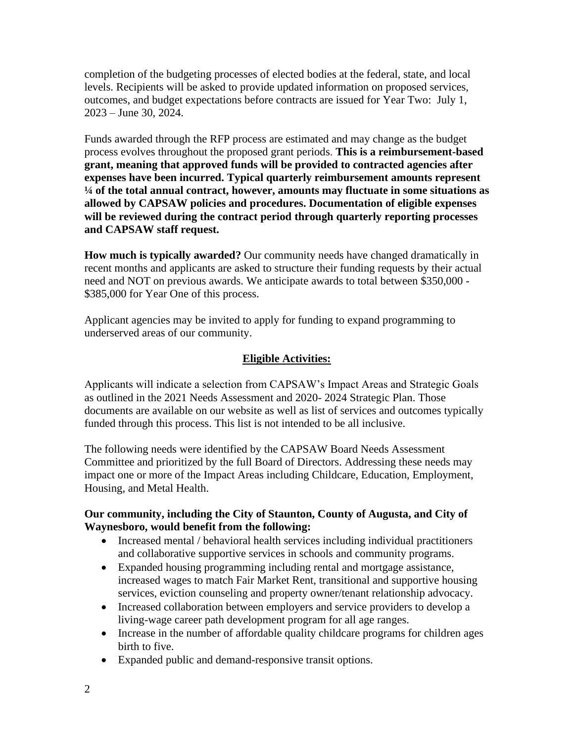completion of the budgeting processes of elected bodies at the federal, state, and local levels. Recipients will be asked to provide updated information on proposed services, outcomes, and budget expectations before contracts are issued for Year Two: July 1, 2023 – June 30, 2024.

Funds awarded through the RFP process are estimated and may change as the budget process evolves throughout the proposed grant periods. **This is a reimbursement-based grant, meaning that approved funds will be provided to contracted agencies after expenses have been incurred. Typical quarterly reimbursement amounts represent ¼ of the total annual contract, however, amounts may fluctuate in some situations as allowed by CAPSAW policies and procedures. Documentation of eligible expenses will be reviewed during the contract period through quarterly reporting processes and CAPSAW staff request.**

**How much is typically awarded?** Our community needs have changed dramatically in recent months and applicants are asked to structure their funding requests by their actual need and NOT on previous awards. We anticipate awards to total between \$350,000 - \$385,000 for Year One of this process.

Applicant agencies may be invited to apply for funding to expand programming to underserved areas of our community.

### **Eligible Activities:**

Applicants will indicate a selection from CAPSAW's Impact Areas and Strategic Goals as outlined in the 2021 Needs Assessment and 2020- 2024 Strategic Plan. Those documents are available on our website as well as list of services and outcomes typically funded through this process. This list is not intended to be all inclusive.

The following needs were identified by the CAPSAW Board Needs Assessment Committee and prioritized by the full Board of Directors. Addressing these needs may impact one or more of the Impact Areas including Childcare, Education, Employment, Housing, and Metal Health.

#### **Our community, including the City of Staunton, County of Augusta, and City of Waynesboro, would benefit from the following:**

- Increased mental / behavioral health services including individual practitioners and collaborative supportive services in schools and community programs.
- Expanded housing programming including rental and mortgage assistance, increased wages to match Fair Market Rent, transitional and supportive housing services, eviction counseling and property owner/tenant relationship advocacy.
- Increased collaboration between employers and service providers to develop a living-wage career path development program for all age ranges.
- Increase in the number of affordable quality childcare programs for children ages birth to five.
- Expanded public and demand-responsive transit options.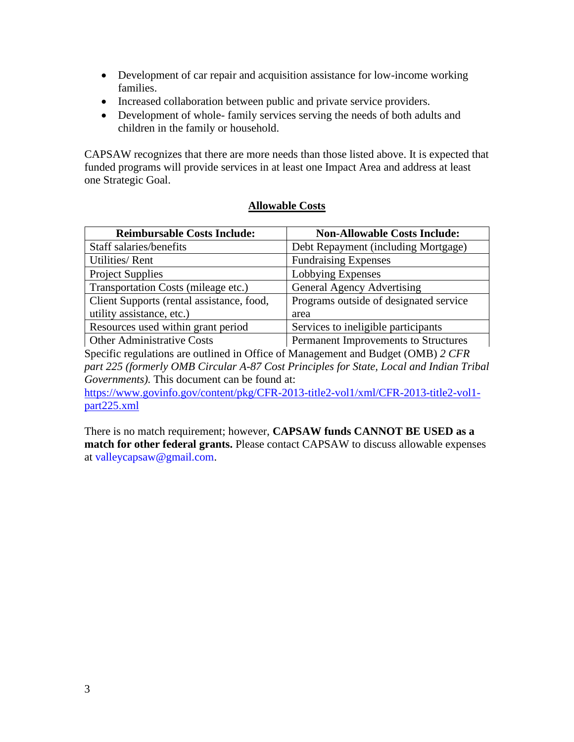- Development of car repair and acquisition assistance for low-income working families.
- Increased collaboration between public and private service providers.
- Development of whole- family services serving the needs of both adults and children in the family or household.

CAPSAW recognizes that there are more needs than those listed above. It is expected that funded programs will provide services in at least one Impact Area and address at least one Strategic Goal.

### **Allowable Costs**

| <b>Reimbursable Costs Include:</b>        | <b>Non-Allowable Costs Include:</b>    |
|-------------------------------------------|----------------------------------------|
| Staff salaries/benefits                   | Debt Repayment (including Mortgage)    |
| <b>Utilities/Rent</b>                     | <b>Fundraising Expenses</b>            |
| <b>Project Supplies</b>                   | Lobbying Expenses                      |
| Transportation Costs (mileage etc.)       | General Agency Advertising             |
| Client Supports (rental assistance, food, | Programs outside of designated service |
| utility assistance, etc.)                 | area                                   |
| Resources used within grant period        | Services to ineligible participants    |
| <b>Other Administrative Costs</b>         | Permanent Improvements to Structures   |

Specific regulations are outlined in Office of Management and Budget (OMB) *2 CFR part 225 (formerly OMB Circular A-87 Cost Principles for State, Local and Indian Tribal Governments).* This document can be found at:

[https://www.govinfo.gov/content/pkg/CFR-2013-title2-vol1/xml/CFR-2013-title2-vol1](https://www.govinfo.gov/content/pkg/CFR-2013-title2-vol1/xml/CFR-2013-title2-vol1-part225.xml) [part225.xml](https://www.govinfo.gov/content/pkg/CFR-2013-title2-vol1/xml/CFR-2013-title2-vol1-part225.xml)

There is no match requirement; however, **CAPSAW funds CANNOT BE USED as a match for other federal grants.** Please contact CAPSAW to discuss allowable expenses at [valleycapsaw@gmail.com.](mailto:valleycapsaw@gmail.com)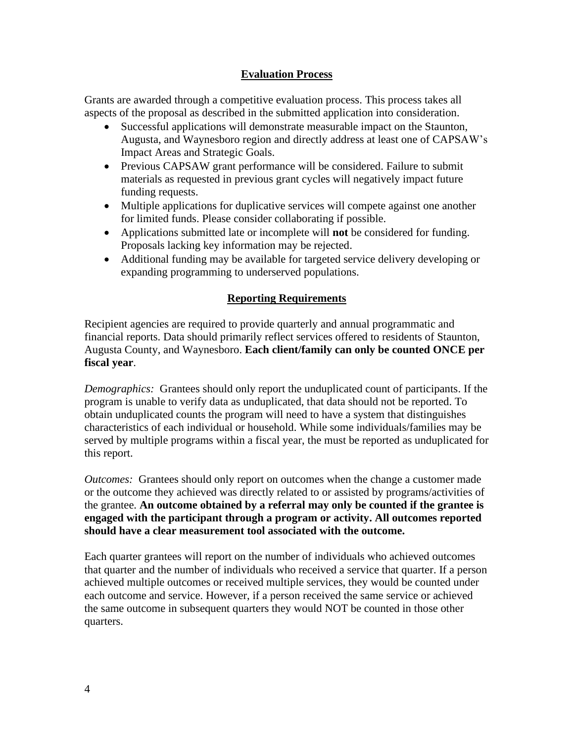### **Evaluation Process**

Grants are awarded through a competitive evaluation process. This process takes all aspects of the proposal as described in the submitted application into consideration.

- Successful applications will demonstrate measurable impact on the Staunton, Augusta, and Waynesboro region and directly address at least one of CAPSAW's Impact Areas and Strategic Goals.
- Previous CAPSAW grant performance will be considered. Failure to submit materials as requested in previous grant cycles will negatively impact future funding requests.
- Multiple applications for duplicative services will compete against one another for limited funds. Please consider collaborating if possible.
- Applications submitted late or incomplete will **not** be considered for funding. Proposals lacking key information may be rejected.
- Additional funding may be available for targeted service delivery developing or expanding programming to underserved populations.

## **Reporting Requirements**

Recipient agencies are required to provide quarterly and annual programmatic and financial reports. Data should primarily reflect services offered to residents of Staunton, Augusta County, and Waynesboro. **Each client/family can only be counted ONCE per fiscal year**.

*Demographics:* Grantees should only report the unduplicated count of participants. If the program is unable to verify data as unduplicated, that data should not be reported. To obtain unduplicated counts the program will need to have a system that distinguishes characteristics of each individual or household. While some individuals/families may be served by multiple programs within a fiscal year, the must be reported as unduplicated for this report.

*Outcomes:* Grantees should only report on outcomes when the change a customer made or the outcome they achieved was directly related to or assisted by programs/activities of the grantee. **An outcome obtained by a referral may only be counted if the grantee is engaged with the participant through a program or activity. All outcomes reported should have a clear measurement tool associated with the outcome.** 

Each quarter grantees will report on the number of individuals who achieved outcomes that quarter and the number of individuals who received a service that quarter. If a person achieved multiple outcomes or received multiple services, they would be counted under each outcome and service. However, if a person received the same service or achieved the same outcome in subsequent quarters they would NOT be counted in those other quarters.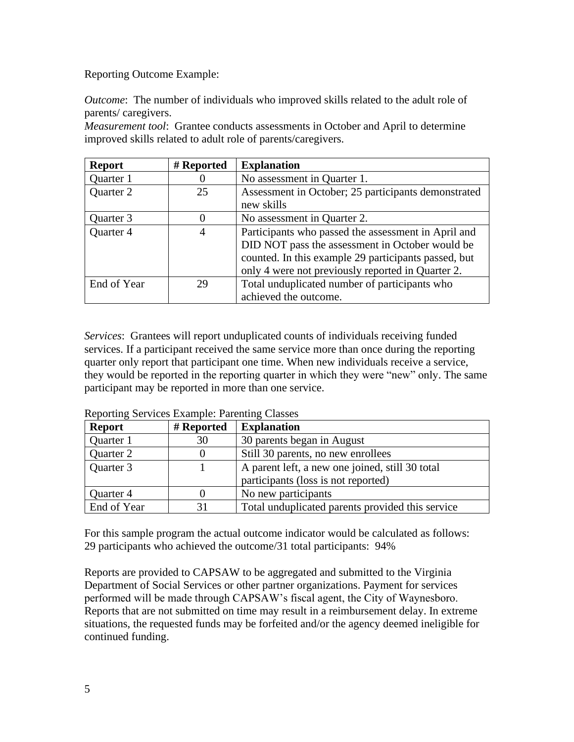Reporting Outcome Example:

*Outcome*: The number of individuals who improved skills related to the adult role of parents/ caregivers.

*Measurement tool*: Grantee conducts assessments in October and April to determine improved skills related to adult role of parents/caregivers.

| <b>Report</b> | # Reported     | <b>Explanation</b>                                   |
|---------------|----------------|------------------------------------------------------|
| Quarter 1     |                | No assessment in Quarter 1.                          |
| Quarter 2     | 25             | Assessment in October; 25 participants demonstrated  |
|               |                | new skills                                           |
| Quarter 3     | 0              | No assessment in Quarter 2.                          |
| Quarter 4     | $\overline{4}$ | Participants who passed the assessment in April and  |
|               |                | DID NOT pass the assessment in October would be      |
|               |                | counted. In this example 29 participants passed, but |
|               |                | only 4 were not previously reported in Quarter 2.    |
| End of Year   | 29             | Total unduplicated number of participants who        |
|               |                | achieved the outcome.                                |

*Services*: Grantees will report unduplicated counts of individuals receiving funded services. If a participant received the same service more than once during the reporting quarter only report that participant one time. When new individuals receive a service, they would be reported in the reporting quarter in which they were "new" only. The same participant may be reported in more than one service.

| <b>Report</b> | # Reported | <b>Explanation</b>                               |
|---------------|------------|--------------------------------------------------|
| Quarter 1     | 30         | 30 parents began in August                       |
| Quarter 2     |            | Still 30 parents, no new enrollees               |
| Quarter 3     |            | A parent left, a new one joined, still 30 total  |
|               |            | participants (loss is not reported)              |
| Quarter 4     |            | No new participants                              |
| End of Year   | 31         | Total unduplicated parents provided this service |

Reporting Services Example: Parenting Classes

For this sample program the actual outcome indicator would be calculated as follows: 29 participants who achieved the outcome/31 total participants: 94%

Reports are provided to CAPSAW to be aggregated and submitted to the Virginia Department of Social Services or other partner organizations. Payment for services performed will be made through CAPSAW's fiscal agent, the City of Waynesboro. Reports that are not submitted on time may result in a reimbursement delay. In extreme situations, the requested funds may be forfeited and/or the agency deemed ineligible for continued funding.